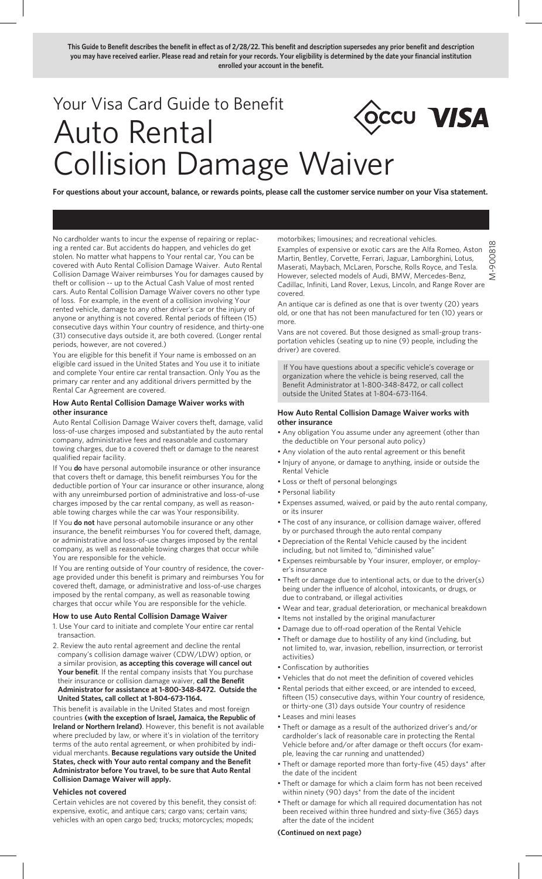**This Guide to Benefit describes the benefit in effect as of 2/28/22. This benefit and description supersedes any prior benefit and description you may have received earlier. Please read and retain for your records. Your eligibility is determined by the date your financial institution enrolled your account in the benefit.**

# Your Visa Card Guide to Benefit OCCU VISA Auto Rental Collision Damage Waiver

**For questions about your account, balance, or rewards points, please call the customer service number on your Visa statement.** 

No cardholder wants to incur the expense of repairing or replacing a rented car. But accidents do happen, and vehicles do get stolen. No matter what happens to Your rental car, You can be covered with Auto Rental Collision Damage Waiver. Auto Rental Collision Damage Waiver reimburses You for damages caused by theft or collision -- up to the Actual Cash Value of most rented cars. Auto Rental Collision Damage Waiver covers no other type of loss. For example, in the event of a collision involving Your rented vehicle, damage to any other driver's car or the injury of anyone or anything is not covered. Rental periods of fifteen (15) consecutive days within Your country of residence, and thirty-one (31) consecutive days outside it, are both covered. (Longer rental periods, however, are not covered.)

You are eligible for this benefit if Your name is embossed on an eligible card issued in the United States and You use it to initiate and complete Your entire car rental transaction. Only You as the primary car renter and any additional drivers permitted by the Rental Car Agreement are covered.

### **How Auto Rental Collision Damage Waiver works with other insurance**

Auto Rental Collision Damage Waiver covers theft, damage, valid loss-of-use charges imposed and substantiated by the auto rental company, administrative fees and reasonable and customary towing charges, due to a covered theft or damage to the nearest qualified repair facility.

If You **do** have personal automobile insurance or other insurance that covers theft or damage, this benefit reimburses You for the deductible portion of Your car insurance or other insurance, along with any unreimbursed portion of administrative and loss-of-use charges imposed by the car rental company, as well as reasonable towing charges while the car was Your responsibility.

If You **do not** have personal automobile insurance or any other insurance, the benefit reimburses You for covered theft, damage, or administrative and loss-of-use charges imposed by the rental company, as well as reasonable towing charges that occur while You are responsible for the vehicle.

If You are renting outside of Your country of residence, the coverage provided under this benefit is primary and reimburses You for covered theft, damage, or administrative and loss-of-use charges imposed by the rental company, as well as reasonable towing charges that occur while You are responsible for the vehicle.

### **How to use Auto Rental Collision Damage Waiver**

- 1. Use Your card to initiate and complete Your entire car rental transaction.
- 2. Review the auto rental agreement and decline the rental company's collision damage waiver (CDW/LDW) option, or a similar provision, **as accepting this coverage will cancel out Your benefit**. If the rental company insists that You purchase their insurance or collision damage waiver, **call the Benefit Administrator for assistance at 1-800-348-8472. Outside the United States, call collect at 1-804-673-1164.**

This benefit is available in the United States and most foreign countries **(with the exception of Israel, Jamaica, the Republic of Ireland or Northern Ireland)**. However, this benefit is not available where precluded by law, or where it's in violation of the territory terms of the auto rental agreement, or when prohibited by individual merchants. **Because regulations vary outside the United States, check with Your auto rental company and the Benefit Administrator before You travel, to be sure that Auto Rental Collision Damage Waiver will apply.**

## **Vehicles not covered**

Certain vehicles are not covered by this benefit, they consist of: expensive, exotic, and antique cars; cargo vans; certain vans; vehicles with an open cargo bed; trucks; motorcycles; mopeds;

motorbikes; limousines; and recreational vehicles.

Examples of expensive or exotic cars are the Alfa Romeo, Aston Martin, Bentley, Corvette, Ferrari, Jaguar, Lamborghini, Lotus, Maserati, Maybach, McLaren, Porsche, Rolls Royce, and Tesla. However, selected models of Audi, BMW, Mercedes-Benz, Cadillac, Infiniti, Land Rover, Lexus, Lincoln, and Range Rover are covered.

M-900818

-90081 ź

An antique car is defined as one that is over twenty (20) years old, or one that has not been manufactured for ten (10) years or more.

Vans are not covered. But those designed as small-group transportation vehicles (seating up to nine (9) people, including the driver) are covered.

 If You have questions about a specific vehicle's coverage or organization where the vehicle is being reserved, call the Benefit Administrator at 1-800-348-8472, or call collect outside the United States at 1-804-673-1164.

## **How Auto Rental Collision Damage Waiver works with other insurance**

- Any obligation You assume under any agreement (other than the deductible on Your personal auto policy)
- Any violation of the auto rental agreement or this benefit
- Injury of anyone, or damage to anything, inside or outside the Rental Vehicle
- Loss or theft of personal belongings
- Personal liability
- Expenses assumed, waived, or paid by the auto rental company, or its insurer
- The cost of any insurance, or collision damage waiver, offered by or purchased through the auto rental company
- Depreciation of the Rental Vehicle caused by the incident including, but not limited to, "diminished value"
- Expenses reimbursable by Your insurer, employer, or employer's insurance
- Theft or damage due to intentional acts, or due to the driver(s) being under the influence of alcohol, intoxicants, or drugs, or due to contraband, or illegal activities
- Wear and tear, gradual deterioration, or mechanical breakdown
- Items not installed by the original manufacturer
- Damage due to off-road operation of the Rental Vehicle
- Theft or damage due to hostility of any kind (including, but not limited to, war, invasion, rebellion, insurrection, or terrorist activities)
- Confiscation by authorities
- Vehicles that do not meet the definition of covered vehicles
- Rental periods that either exceed, or are intended to exceed, fifteen (15) consecutive days, within Your country of residence, or thirty-one (31) days outside Your country of residence
- Leases and mini leases
- Theft or damage as a result of the authorized driver's and/or cardholder's lack of reasonable care in protecting the Rental Vehicle before and/or after damage or theft occurs (for example, leaving the car running and unattended)
- Theft or damage reported more than forty-five (45) days\* after the date of the incident
- Theft or damage for which a claim form has not been received within ninety (90) days\* from the date of the incident
- Theft or damage for which all required documentation has not been received within three hundred and sixty-five (365) days after the date of the incident

### **(Continued on next page)**